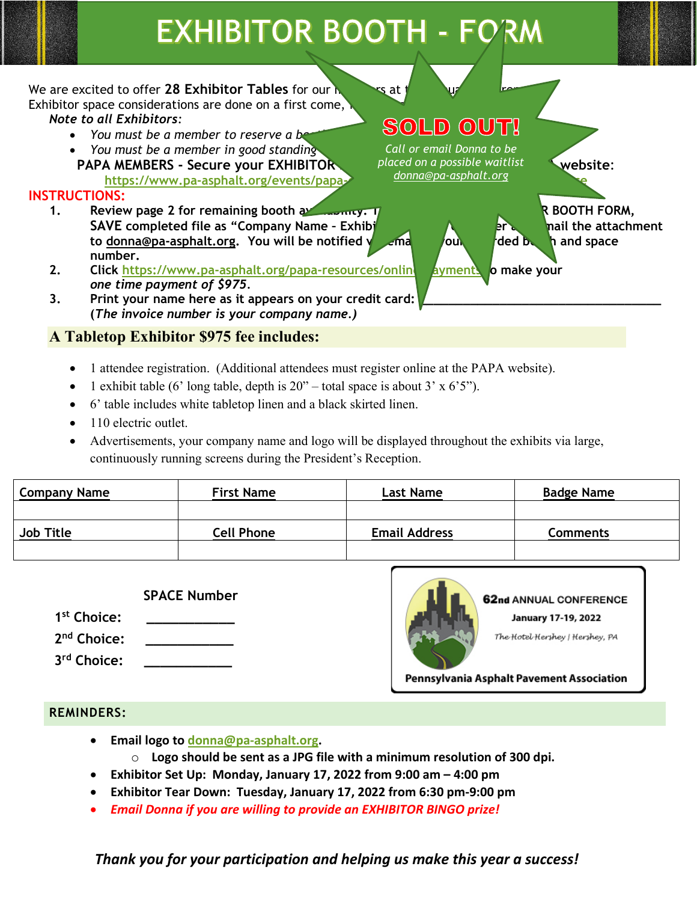# **EXHIBITOR BOOTH - FORM**

We are excited to offer 28 Exhibitor Tables for our **new solution** is at Exhibitor space considerations are done on a first come, *Note to all Exhibitors:* 

- *You must be a member to reserve a be*
- *You must be a member in good standing* **PAPA MEMBERS - Secure your EXHIBITOR** Blaced on a possible waitlist vebsite: https://www.pa-asphalt.org/events/papa-

#### **INSTRUCTIONS:**

- **1. Review page 2 for remaining booth availability. The EXHIBITOR BOOTH FORM, SAVE** completed file as "Company Name - Exhibitor to the state of the attachment **to** [donna@pa-asphalt.org.](mailto:donna@pa-asphalt.org) You will be notified via email of your and booth and space **number.**
- **2. Click**<https://www.pa-asphalt.org/papa-resources/online-payments> to make your *one time payment of \$975.*
- 3. Print your name here as it appears on your credit card: **(***The invoice number is your company name.)*

## **A Tabletop Exhibitor \$975 fee includes:**

- 1 attendee registration. (Additional attendees must register online at the PAPA website).
- 1 exhibit table (6' long table, depth is  $20"$  total space is about 3' x 6'5").
- 6' table includes white tabletop linen and a black skirted linen.
- 110 electric outlet.
- Advertisements, your company name and logo will be displayed throughout the exhibits via large, continuously running screens during the President's Reception.

| <b>Company Name</b> | <b>First Name</b> | <b>Last Name</b>     | <b>Badge Name</b> |
|---------------------|-------------------|----------------------|-------------------|
|                     |                   |                      |                   |
| <b>Job Title</b>    | <b>Cell Phone</b> | <b>Email Address</b> | Comments          |
|                     |                   |                      |                   |

#### **SPACE Number**

**1st Choice: \_\_\_\_\_\_\_\_\_\_\_**

2<sup>nd</sup> Choice:

**3rd Choice: \_\_\_\_\_\_\_\_\_\_\_**



62nd ANNUAL CONFERENCE

**January 17-19, 2022** 

The Hotel Hershey | Hershey, PA

Pennsylvania Asphalt Pavement Association

#### **REMINDERS:**

- **Email logo to [donna@pa-asphalt.org.](mailto:donna@pa-asphalt.org)** 
	- o **Logo should be sent as a JPG file with a minimum resolution of 300 dpi.**
- **Exhibitor Set Up: Monday, January 17, 2022 from 9:00 am – 4:00 pm**
- **Exhibitor Tear Down: Tuesday, January 17, 2022 from 6:30 pm-9:00 pm**
- *Email Donna if you are willing to provide an EXHIBITOR BINGO prize!*

*Thank you for your participation and helping us make this year a success!*

*Call or email Donna to be placed on a possible waitlist [donna@pa-asphalt.org](mailto:donna@pa-asphalt.org)*

SOLD OUT!

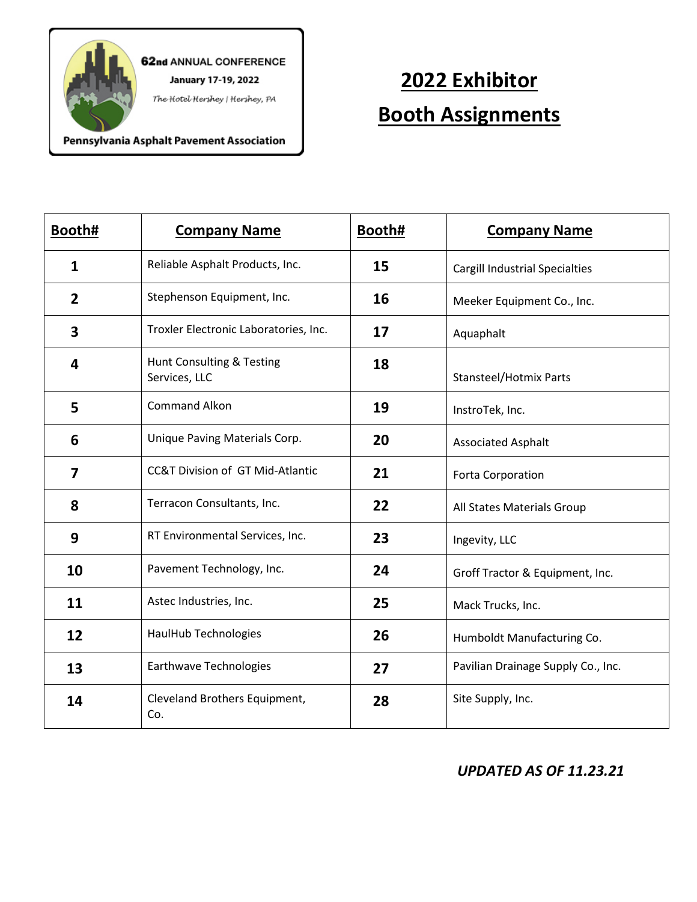

62nd ANNUAL CONFERENCE **January 17-19, 2022** 

The Hotel Hershey | Hershey, PA

# **2022 Exhibitor Booth Assignments**

Pennsylvania Asphalt Pavement Association

| Booth#       | <b>Company Name</b>                        | Booth# | <b>Company Name</b>                   |
|--------------|--------------------------------------------|--------|---------------------------------------|
| $\mathbf{1}$ | Reliable Asphalt Products, Inc.            | 15     | <b>Cargill Industrial Specialties</b> |
| 2            | Stephenson Equipment, Inc.                 | 16     | Meeker Equipment Co., Inc.            |
| 3            | Troxler Electronic Laboratories, Inc.      | 17     | Aquaphalt                             |
| 4            | Hunt Consulting & Testing<br>Services, LLC | 18     | <b>Stansteel/Hotmix Parts</b>         |
| 5            | <b>Command Alkon</b>                       | 19     | InstroTek, Inc.                       |
| 6            | Unique Paving Materials Corp.              | 20     | <b>Associated Asphalt</b>             |
| 7            | CC&T Division of GT Mid-Atlantic           | 21     | Forta Corporation                     |
| 8            | Terracon Consultants, Inc.                 | 22     | All States Materials Group            |
| 9            | RT Environmental Services, Inc.            | 23     | Ingevity, LLC                         |
| 10           | Pavement Technology, Inc.                  | 24     | Groff Tractor & Equipment, Inc.       |
| 11           | Astec Industries, Inc.                     | 25     | Mack Trucks, Inc.                     |
| 12           | HaulHub Technologies                       | 26     | Humboldt Manufacturing Co.            |
| 13           | Earthwave Technologies                     | 27     | Pavilian Drainage Supply Co., Inc.    |
| 14           | Cleveland Brothers Equipment,<br>Co.       | 28     | Site Supply, Inc.                     |

## *UPDATED AS OF 11.23.21*